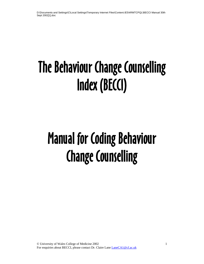# The Behaviour Change Counselling Index (BECCI)

# Manual for Coding Behaviour Change Counselling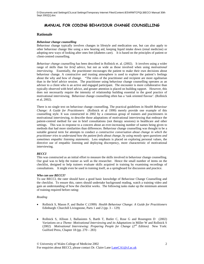# **MANUAL FOR CODING BEHAVIOUR CHANGE COUNSELLING**

## **Rationale**

## *Behaviour change counselling*

Behaviour change typically involves changes in lifestyle and medication use, but can also apply to other behaviour change like using a new hearing aid, keeping liquid intake down (renal medicine) or adopting new ways of looking after ones feet (diabetes care). It is based on the principles of patient or client-centred counselling.

*Behaviour change counselling* has been described in Rollnick et. al. (2002). It involves using a wider range of skills than for *brief advice*, but not as wide as those involved when using *motivational interviewing*. Essentially, the practitioner encourages the patient to make their own decisions about behaviour change. A constructive and trusting atmosphere is used to explore the patient's feelings about the why and how of change."The roles of the practitioner and recipient are more egalitarian than in the brief advice session. The practitioner using behaviour change counselling operates as an advisor to a client who is an active and engaged participant. The encounter is more collaborative than typically observed with brief advice, and greater attention is placed on building rapport. However, this does not necessarily require the intensity of relationship building essential to the good practice of motivational interviewing. Behaviour change counselling often has a 'task oriented flavour'. (Rollnick et al, 2002).

There is no single text on behaviour change counselling. The practical guidelines in H*ealth Behaviour Change: A Guide for Practitioners* (Rollnick et al 1999) merely provide one example of this counselling style. It was constructed in 2002 by a consensus group of trainers and practitioners in motivational interviewing, to describe those adaptations of motivational interviewing that embrace the patient-centred method for use in brief consultations (not therapy sessions) in healthcare and other settings. This was in response to a concern about an ever-increasing number of names being given to methods that had more similarities than differences. Behaviour change counselling was thought to be a suitable general term for attempts to conduct *a constructive conversation about change in which the practitioner tries to understand how the patient feels about change, by using mostly open questions and sometimes empathic listening statements.* Less emphasis is placed on exploring personal values, the directive use of empathic listening and deploying discrepency, more characteristic of motivational interviewing.

## *BECCI*

This was constructed as an initial effort to measure the skills involved in behaviour change counselling. Our goal was to help the trainer as well as the researcher. Hence the small number of items on the checklist, designed to help trainers evaluate skills acquired in training by examining recordings of consultations. It might even be used in training itself, as a springboard for discussion and practice.

## *Who can use BECCI?*

To use BECCI, the rater should have a good basic knowledge of Behaviour Change Counselling and the checklist. To ensure this, raters should undertake background reading, watch a training video and gain an understanding of how the checklist works. The following tasks make up the minimum amount of training required before rating:

## *Reading*

- Rollnick S, Mason P, and Butler C (1999) *Health Behaviour Change: A Guide for Practitioners* Edinburgh: Churchill Livingstone, Parts 1 and 2 (pp. 3 – 129)
- Rollnick S, Allison J, Ballasiotes S, Barth T, Butler C, Rose G and Rosengren D (2002) *Variations on a Theme: Motivational Interviewing and its Adaptations* in Miller W and Rollnick S (2002) *Motivational Interviewing: Preparing People for Change (2nd Edition)* New York: Guilford Press, Chapter 18 (pp. 270 – 283)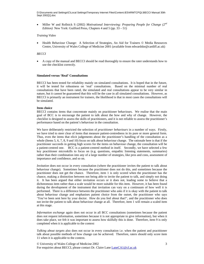D:\Documents and Settings\C\Local Settings\Temporary Internet Files\Content.IE5\4RMTCPQL\BECCI Manual 30th Sept 2002[1].doc

• Miller W and Rollnick S (2002) *Motivational Interviewing: Preparing People for Change (2nd Edition*) New York: Guilford Press, Chapters 4 and 5 (pp. 33 – 51)

#### *Training Video*

• Health Behaviour Change: A Selection of Strategies, An Aid for Trainers © Media Resources Centre, University of Wales College of Medicine 2001 (available from edwardske@cardiff.ac.uk)

#### *BECCI*

• A copy of the manual and BECCI should be read thoroughly to ensure the rater understands how to use the checklist correctly.

#### **Simulated versus 'Real' Consultations**

BECCI has been tested for reliability mainly on simulated consultations. It is hoped that in the future, it will be tested for robustness on 'real' consultations. Based on the minimal number of real consultations that have been rated, the simulated and real consultations appear to be very similar in nature, but it cannot be guaranteed that this will be the case in all simulated consultations. However, as BECCI is primarily an instrument for trainers, the likelihood is that in most cases the consultations will be simulated.

#### **Item choice**

BECCI contains items that concentrate mainly on practitioner behaviours. We realise that the main goal of BCC is to encourage the patient to talk about the how and why of change. However, the checklist is designed to assess the skills of practitioners, and it is not reliable to assess the practitioner's performance based on the patient's behaviour in the consultation.

We have deliberately restricted the selection of *practitioner behaviours* in a number of ways. Firstly, we have tried to steer clear of items that measure patient-centredness in its pure or more general form. Thus, even the items that elicit judgements about the practitioner's handling of the consultation as a whole (Items 5, 6, 7, 8, 9 and 10) focus on talk about behaviour change. The rationale here is that if the practitioner succeeds in getting high scores for the items on behaviour change, the consultation will be a patient-centred one. BCC is a patient-centred method in itself. Secondly, we have selected a few key practitioner microskills to focus on (e.g. questions, empathic listening statements, summaries) rather than their combination into any of a large number of strategies, like pros and cons, assessment of importance and confidence, and so on.

*Invitation* does not occur in every consultation (where the practitioner invites the patient to talk about behaviour change). Sometimes because the practitioner does not do this, and sometimes because the practitioner does not get the chance. Therefore, item 1 is only scored when the practitioner has the chance, making a distinction between not being able to invite the patient to talk, and simply not doing it. It has been argued that either invitation occurs or it does not, leading some to believe that a dichotomous item rather than a scale would be more suitable for this item. However, it has been found during the development of the instrument that invitation can vary on a continuum of how well it is performed. There is a difference between the practitioner who asks if it is okay with the patient to talk about behaviour change and emphasises patient choice from the outset, the practitioner who says 'You've been sent here by your doctor. How do you feel about that?', and the practitioner who does not invite the patient to talk about behaviour change at all. Therefore, item 1 will remain a scaled item at this stage.

*Information exchange* again does not occur in all BCC consultations (sometimes because the patient does not request information, sometimes because it is not appropriate to give information), but when it does take place, we felt it was important to assess how skilfully this is done. Therefore, item 9 is only completed when it is applicable to the context

*Talking about targets* also does not occur in every consultation i.e. when the patient and practitioner talk about possible methods of how change can be achieved. Therefore, raters should only score item 11 when it is applicable to the context.

© University of Wales College of Medicine 2002 For enquiries about BECCI, please contact Dr. Claire Lane LaneCA1@cf.ac.uk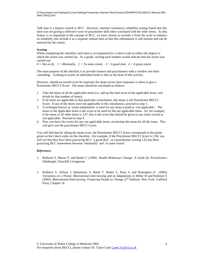D:\Documents and Settings\C\Local Settings\Temporary Internet Files\Content.IE5\4RMTCPQL\BECCI Manual 30th Sept 2002[1].doc

*Talk time* is a feature central to BCC. However, internal consistency reliability testing found that this item was not giving a reflective score of practitioner skill when correlated with the other items. As this feature is so important to the concept of BCC, we have chosen to exclude it from the scale to enhance its reliability, but include it as a separate ordinal item so that this information is still present and can be assessed by the trainer.

## *Scoring*

While completing the checklist, each item is accompanied by a Likert scale to reflect the degree to which the action was carried out. As a guide, circling each number would indicate that the action was carried out:

 $0 = Not$  at all,  $1 = Minimally$ ,  $2 = To$  some extent,  $3 = A$  good deal,  $4 = A$  great extent

The main purpose of the checklist is to provide trainers and practitioners with a window into their consulting. Looking at scores on individual items is thus at the heart of this activity.

However, should an overall score be required, the mean across item responses is taken to give a Practitioner BECCI Score. The mean should be calculated as follows:

- 1. Take the mean of all the applicable items (i.e. add up the total score of the applicable items, and divide by that number of items).
- 2. If all items are applicable in that particular consultation, this mean is the Practitioner BECCI Score. If any of the items were not applicable in the consultation, proceed to step 3.
- 3. A technique known as 'mean substitution' is used for any items scored as 'not applicable'. The mean of the applicable items is the score to be used for the not applicable items. So, for example, if the mean of all other items is 2.87, this is the score that should be given to any items scored as not applicable. Proceed to step 4.
- 4. Now you have the scores for any not applicable items, recalculate the mean for all the items. This will give you the practitioner BECCI score.

You will find that by taking the mean score, the Practitioner BECCI Score corresponds to the points given on the Likert scales on the checklist. For example, if the Practitioner BECCI Score is 2.94, you will see that they have been practicing BCC 'a good deal', or a practitioner scoring 1.62 has been practicing BCC somewhere between 'minimally' and 'to some extent'.

## *References*

- 1. Rollnick S, Mason P, and Butler C (1999) *Health Behaviour Change: A Guide for Practitioners* Edinburgh: Churchill Livingstone
- 2. Rollnick S, Allison J, Ballasiotes S, Barth T, Butler C, Rose G and Rosengren D (2002) *Variations on a Theme: Motivational Interviewing and its Adaptations* in Miller W and Rollnick S (2002) *Motivational Interviewing: Preparing People to Change (2nd Edition)* New York: Guilford Press, Chapter 18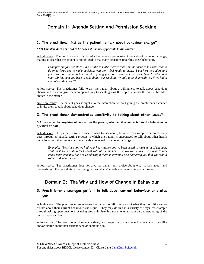# Domain 1: Agenda Setting and Permission Seeking

## **1. The practitioner invites the patient to talk about behaviour change\***

#### *\*NB This item does not need to be coded if it is not applicable to the context*

A high score: The practitioner explicitly asks the patient's permission to talk about behaviour change, making it clear that the patient is not obliged to make any decisions regarding their behaviour.

*Example: 'Before we start, I'd just like to make it clear that I am not here to tell you what to do or to force you to make decisions you don't feel ready to make. I am here to understand you. We don't have to talk about anything you don't want to talk about. Now I understand your GP has sent you here to talk about your smoking. Would it be okay with you if we had a chat about that now?'* 

A low score: The practitioner fails to ask the patient about a willingness to talk about behaviour change and does not give them an opportunity to speak, giving the impression that the patient has little choice in the matter!

Not Applicable: The patient goes straight into the interaction, without giving the practitioner a chance to invite them to talk about behaviour change.

## **2. The practitioner demonstrates sensitivity to talking about other issues\***

**\*(An issue can be anything of concern to the patient, whether it is connected to the behaviour in question or not)** 

A high score: The patient is given choice in what to talk about, because, for example, the practitioner goes through an agenda setting process in which the patient is encouraged to talk about other health behaviours, or other issues not immediately connected to behaviour change.

*Example: 'So, since you've had your heart attack you've been asked to make a lot of changes. That must seem quite a lot to deal with at the moment. I know you've been sent here to talk about your smoking, but I'm wondering if there is anything else bothering you that you would rather talk about today'.* 

A low score: The practitioner does not give the patient any choice about what to talk about, and proceeds with the consultation discussing in turn what s/he feels are the most important issues.

# Domain 2: The Why and How of Change in Behaviour

# **3. Practitioner encourages patient to talk about current behaviour or status quo**

A high score: The practitioner encourages the patient to talk freely about what they both like and/or dislike about their current behaviour/status quo. They may do this in a variety of ways, for example through asking open questions or using empathic listening statements, to gain an understanding of the patient's perspective.

A low score: The practitioner does not actively encourage the patient to talk about what they like and/or dislike about their current behaviour/status quo.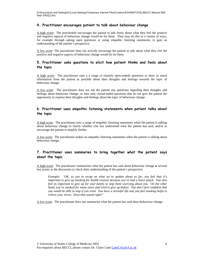D:\Documents and Settings\C\Local Settings\Temporary Internet Files\Content.IE5\4RMTCPQL\BECCI Manual 30th Sept 2002[1].doc

## **4. Practitioner encourages patient to talk about behaviour change**

A high score: The practitioner encourages the patient to talk freely about what they feel the positive and negative aspects of behaviour change would be for them. They may do this in a variety of ways, for example through asking open questions or using empathic listening statements, to gain an understanding of the patient's perspective.

A low score: The practitioner does not actively encourage the patient to talk about what they feel the positive and negative aspects of behaviour change would be for them.

# **5. Practitioner asks questions to elicit how patient thinks and feels about the topic**

A high score: The practitioner uses a a range of (mainly open-ended) questions to draw as much information from the patient as possible about their thoughts and feelings towards the topic of behaviour change.

A low score: The practitioner does not ask the patient any questions regarding their thoughts and feelings about behaviour change, or asks only closed-ended questions that do not give the patient the opportunity to express their thoughts and feelings about the topic of behaviour change.

# **6. Practitioner uses empathic listening statements when patient talks about the topic**

A high score: The practitioner uses a range of empathic listening statements while the patient is talking about behaviour change to clarify whether s/he has understood what the patient has said, and/or to encourage the patient to amplify further.

A low score: The practitioner makes no empathic listening statements when the patient is talking about behaviour change.

# **7. Practitioner uses summaries to bring together what the patient says about the topic**

A high score: The practitioner summarises what the patient has said about behaviour change at several key points in the discussion to check their understanding of the patient's perspective.

*Example: 'OK, so just to recap on what we've spoken about so far, you feel that it's important to give up smoking for health reasons because you've had a heart attack. You also feel its important to give up for your family to stop them worrying about you. On the other hand, you've smoked for many years and tried to give up before. You don't feel confident that you would be able to stop if you tried. You have a stressful life and you feel smoking helps to relieve your stress. Does that sound right?'* 

A low score: The practitioner does not summarise what the patient has said abou tbehaviour change.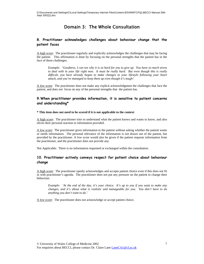# Domain 3: The Whole Consultation

# **8. Practitioner acknowledges challenges about behaviour change that the patient faces**

A high score: The practitioner regularly and explicitly acknowledges the challenges that may be facing the patient. This affirmation is done by focusing on the personal strengths that the patient has in the face of these challenges.

*Example: 'Goodness, I can see why it is so hard for you to give up. You have so much stress to deal with in your life right now. It must be really hard. But even though this is really difficult, you have already begun to make changes to your lifestyle following your heart attack, and you've managed to keep them up even though it's tough'.* 

A low score: The practitioner does not make any explicit acknowledgment the challenges that face the patient, and does not focus on any of the personal strengths that the patient has.

# **9.When practitioner provides information, it is sensitive to patient concerns and understanding\***

## **\* This item does not need to be scored if it is not applicable to the context**

A high score: The practitioner tries to understand what the patient knows and wants to know, and also elicits their personal reaction to information provided.

A low score: The practitioner gives information to the patient without asking whether the patient wants or needs information. The personal relevance of the information is not drawn out of the patient, but provided by the practitioner. A low score would also be given if the patient requests information from the practitioner, and the practitioner does not provide any.

Not Applicable: There is no information requested or exchanged within the consultation.

# **10. Practitioner actively conveys respect for patient choice about behaviour change**

A high score: The practitioner openly acknowledges and accepts patient choice even if this does not fit in with practitioner's agenda. The practitioner does not put any pressure on the patient to change their behaviour.

*Example: 'At the end of the day, it's your choice. It's up to you if you want to make any changes, and it's about what is realistic and manageable for you. You don't have to do anything you don't want to do.'* 

A low score: The practitioner does not acknowledge or accept patient choice.